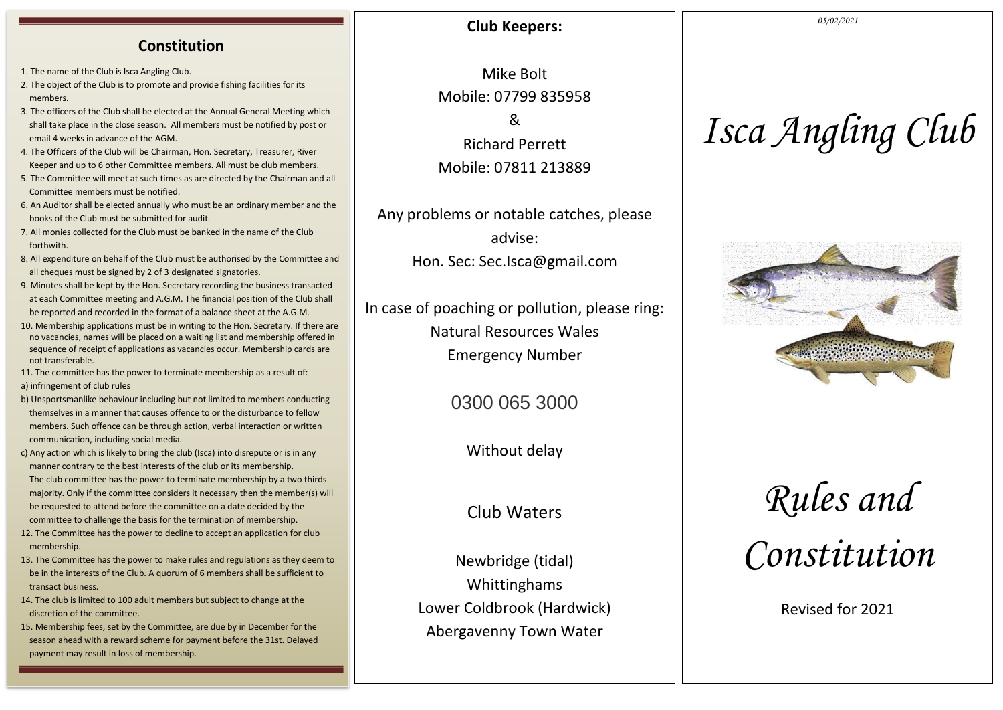### **Constitution**

1. The name of the Club is Isca Angling Club.

- 2. The object of the Club is to promote and provide fishing facilities for its members.
- 3. The officers of the Club shall be elected at the Annual General Meeting which shall take place in the close season. All members must be notified by post or email 4 weeks in advance of the AGM.
- 4. The Officers of the Club will be Chairman, Hon. Secretary, Treasurer, River Keeper and up to 6 other Committee members. All must be club members.
- 5. The Committee will meet at such times as are directed by the Chairman and all Committee members must be notified.
- 6. An Auditor shall be elected annually who must be an ordinary member and the books of the Club must be submitted for audit.
- 7. All monies collected for the Club must be banked in the name of the Club forthwith.
- 8. All expenditure on behalf of the Club must be authorised by the Committee and all cheques must be signed by 2 of 3 designated signatories.
- 9. Minutes shall be kept by the Hon. Secretary recording the business transacted at each Committee meeting and A.G.M. The financial position of the Club shall be reported and recorded in the format of a balance sheet at the A.G.M.
- 10. Membership applications must be in writing to the Hon. Secretary. If there are no vacancies, names will be placed on a waiting list and membership offered in sequence of receipt of applications as vacancies occur. Membership cards are not transferable.
- 11. The committee has the power to terminate membership as a result of:
- a) infringement of club rules
- b) Unsportsmanlike behaviour including but not limited to members conducting themselves in a manner that causes offence to or the disturbance to fellow members. Such offence can be through action, verbal interaction or written communication, including social media.
- c) Any action which is likely to bring the club (Isca) into disrepute or is in any manner contrary to the best interests of the club or its membership. The club committee has the power to terminate membership by a two thirds majority. Only if the committee considers it necessary then the member(s) will be requested to attend before the committee on a date decided by the committee to challenge the basis for the termination of membership.
- 12. The Committee has the power to decline to accept an application for club membership.
- 13. The Committee has the power to make rules and regulations as they deem to be in the interests of the Club. A quorum of 6 members shall be sufficient to transact business.
- 14. The club is limited to 100 adult members but subject to change at the discretion of the committee.
- 15. Membership fees, set by the Committee, are due by in December for the season ahead with a reward scheme for payment before the 31st. Delayed payment may result in loss of membership.

## **Club Keepers:**

Mike Bolt Mobile: 07799 835958 &

Richard Perrett Mobile: 07811 213889

Any problems or notable catches, please advise: Hon. Sec: Sec.Isca@gmail.com

In case of poaching or pollution, please ring: Natural Resources Wales Emergency Number

0300 065 3000

Without delay

Club Waters

Newbridge (tidal) Whittinghams Lower Coldbrook (Hardwick) Abergavenny Town Water

#### *05/02/2021*

# *Isca Angling Club*



# *Rules and Constitution*

Revised for 2021